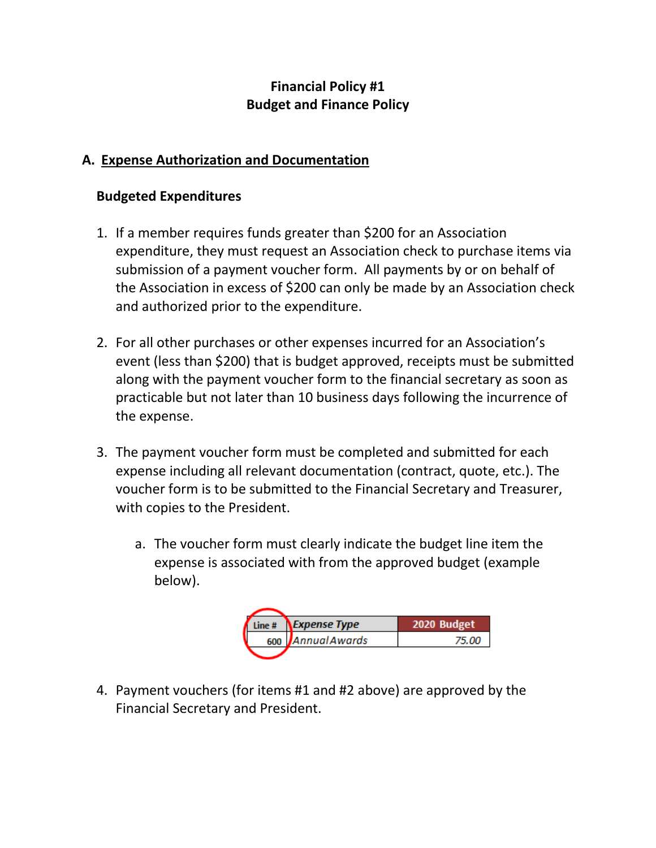# **Financial Policy #1 Budget and Finance Policy**

## **A. Expense Authorization and Documentation**

#### **Budgeted Expenditures**

- 1. If a member requires funds greater than \$200 for an Association expenditure, they must request an Association check to purchase items via submission of a payment voucher form. All payments by or on behalf of the Association in excess of \$200 can only be made by an Association check and authorized prior to the expenditure.
- 2. For all other purchases or other expenses incurred for an Association's event (less than \$200) that is budget approved, receipts must be submitted along with the payment voucher form to the financial secretary as soon as practicable but not later than 10 business days following the incurrence of the expense.
- 3. The payment voucher form must be completed and submitted for each expense including all relevant documentation (contract, quote, etc.). The voucher form is to be submitted to the Financial Secretary and Treasurer, with copies to the President.
	- a. The voucher form must clearly indicate the budget line item the expense is associated with from the approved budget (example below).

| Line# | <b>NExpense Type</b> | 2020 Budget |
|-------|----------------------|-------------|
|       | 600 Annual Awards    | 75 OO       |
|       |                      |             |

4. Payment vouchers (for items #1 and #2 above) are approved by the Financial Secretary and President.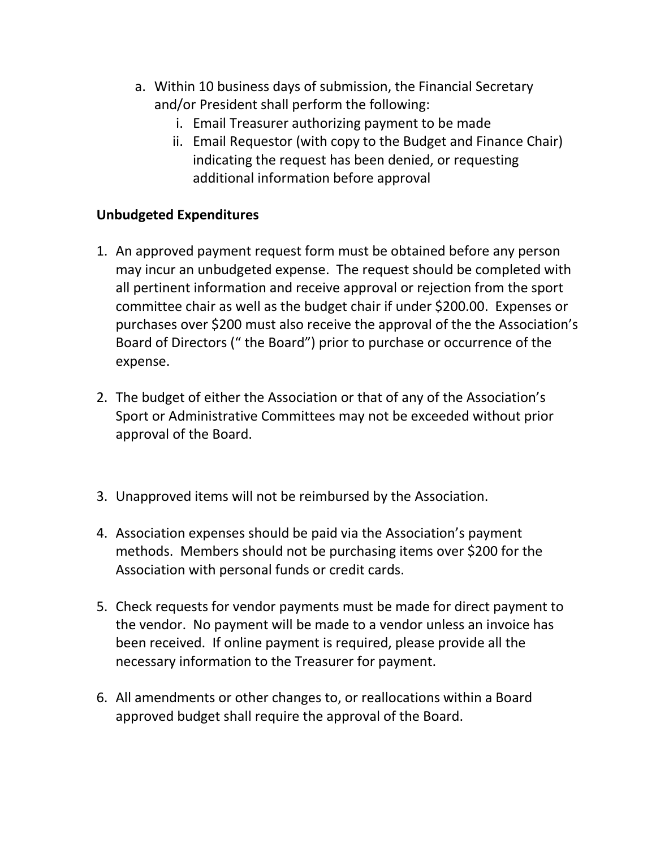- a. Within 10 business days of submission, the Financial Secretary and/or President shall perform the following:
	- i. Email Treasurer authorizing payment to be made
	- ii. Email Requestor (with copy to the Budget and Finance Chair) indicating the request has been denied, or requesting additional information before approval

## **Unbudgeted Expenditures**

- 1. An approved payment request form must be obtained before any person may incur an unbudgeted expense. The request should be completed with all pertinent information and receive approval or rejection from the sport committee chair as well as the budget chair if under \$200.00. Expenses or purchases over \$200 must also receive the approval of the the Association's Board of Directors (" the Board") prior to purchase or occurrence of the expense.
- 2. The budget of either the Association or that of any of the Association's Sport or Administrative Committees may not be exceeded without prior approval of the Board.
- 3. Unapproved items will not be reimbursed by the Association.
- 4. Association expenses should be paid via the Association's payment methods. Members should not be purchasing items over \$200 for the Association with personal funds or credit cards.
- 5. Check requests for vendor payments must be made for direct payment to the vendor. No payment will be made to a vendor unless an invoice has been received. If online payment is required, please provide all the necessary information to the Treasurer for payment.
- 6. All amendments or other changes to, or reallocations within a Board approved budget shall require the approval of the Board.